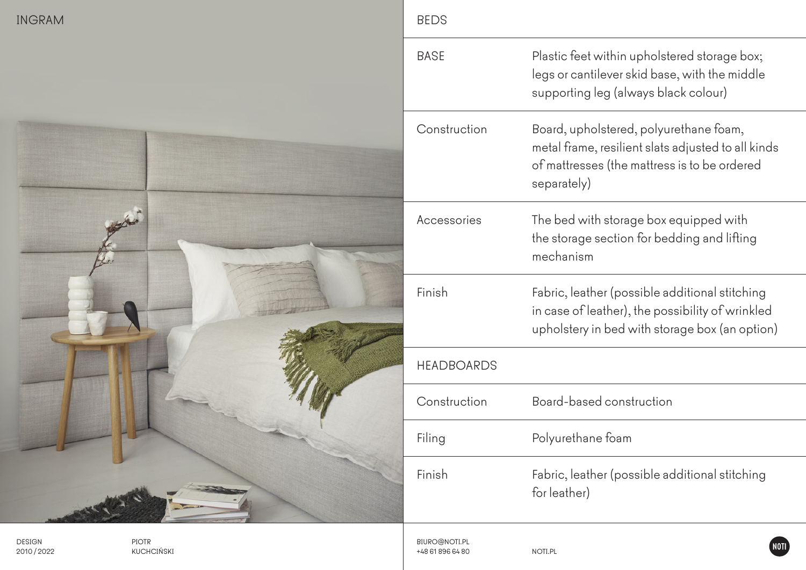| <b>INGRAM</b>              |                            | <b>BEDS</b> |                                   |                                                                                                                                                             |
|----------------------------|----------------------------|-------------|-----------------------------------|-------------------------------------------------------------------------------------------------------------------------------------------------------------|
|                            |                            |             | <b>BASE</b>                       | Plastic feet within upholstered storage box;<br>legs or cantilever skid base, with the middle<br>supporting leg (always black colour)                       |
|                            |                            |             | Construction                      | Board, upholstered, polyurethane foam,<br>metal frame, resilient slats adjusted to all kinds<br>of mattresses (the mattress is to be ordered<br>separately) |
|                            |                            |             | Accessories                       | The bed with storage box equipped with<br>the storage section for bedding and lifting<br>mechanism                                                          |
|                            |                            |             | Finish                            | Fabric, leather (possible additional stitching<br>in case of leather), the possibility of wrinkled<br>upholstery in bed with storage box (an option)        |
|                            |                            |             | <b>HEADBOARDS</b>                 |                                                                                                                                                             |
|                            |                            |             | Construction                      | Board-based construction                                                                                                                                    |
|                            |                            |             | Filing                            | Polyurethane foam                                                                                                                                           |
|                            |                            |             | Finish                            | Fabric, leather (possible additional stitching<br>for leather)                                                                                              |
| <b>DESIGN</b><br>2010/2022 | <b>PIOTR</b><br>KUCHCIŃSKI |             | BIURO@NOTI.PL<br>+48 61 896 64 80 | NOTI <sup>®</sup><br>NOTI.PL                                                                                                                                |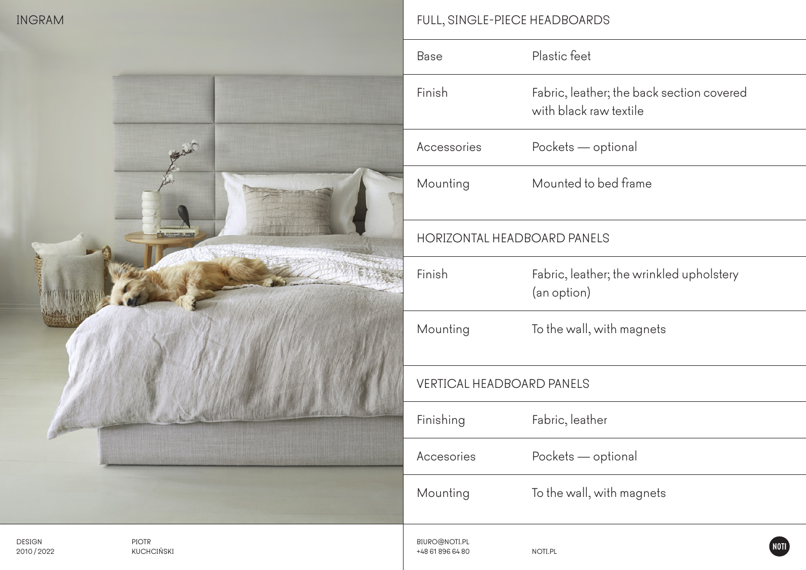## INGRAM FULL, SINGLE-PIECE HEADBOARDS

|                                                   | Base                              | Plastic feet                                                        |
|---------------------------------------------------|-----------------------------------|---------------------------------------------------------------------|
|                                                   | Finish                            | Fabric, leather; the back section covered<br>with black raw textile |
|                                                   | Accessories                       | Pockets - optional                                                  |
|                                                   | Mounting                          | Mounted to bed frame                                                |
| <b>LOWING MILES</b>                               | HORIZONTAL HEADBOARD PANELS       |                                                                     |
|                                                   | Finish                            | Fabric, leather; the wrinkled upholstery<br>(an option)             |
|                                                   | Mounting                          | To the wall, with magnets                                           |
|                                                   | VERTICAL HEADBOARD PANELS         |                                                                     |
|                                                   | Finishing                         | Fabric, leather                                                     |
|                                                   | Accesories                        | Pockets - optional                                                  |
|                                                   | Mounting                          | To the wall, with magnets                                           |
| PIOTR<br><b>DESIGN</b><br>KUCHCIŃSKI<br>2010/2022 | BIURO@NOTI.PL<br>+48 61 896 64 80 | NOTI.PL                                                             |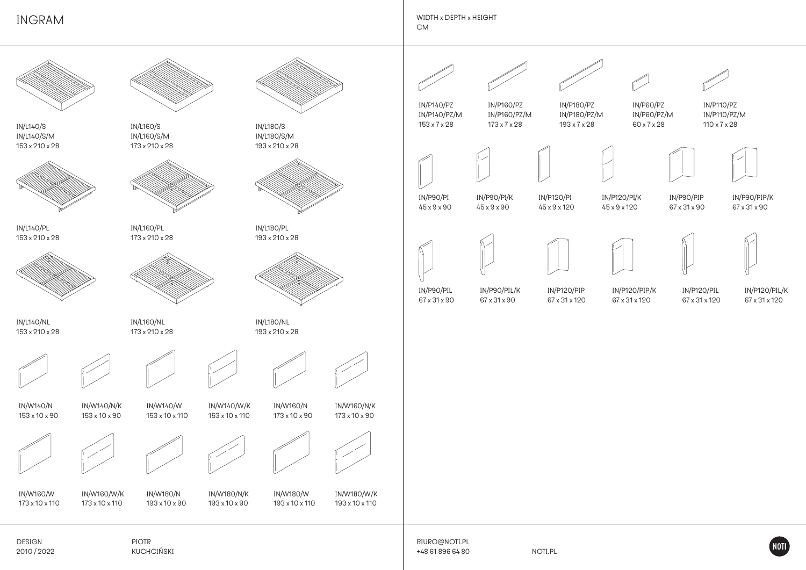INGRAM